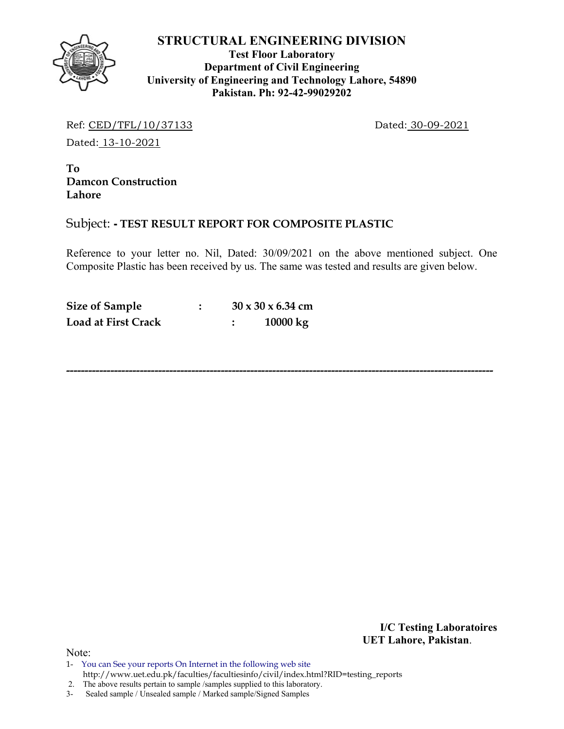

**Test Floor Laboratory Department of Civil Engineering University of Engineering and Technology Lahore, 54890 Pakistan. Ph: 92-42-99029202** 

Ref: CED/TFL/10/37133 Dated: 30-09-2021

Dated: 13-10-2021

**To Damcon Construction Lahore**

## Subject: **- TEST RESULT REPORT FOR COMPOSITE PLASTIC**

Reference to your letter no. Nil, Dated: 30/09/2021 on the above mentioned subject. One Composite Plastic has been received by us. The same was tested and results are given below.

**--------------------------------------------------------------------------------------------------------------------** 

| <b>Size of Sample</b>      |  | $30 \times 30 \times 6.34$ cm |
|----------------------------|--|-------------------------------|
| <b>Load at First Crack</b> |  | 10000 kg                      |

**I/C Testing Laboratoires UET Lahore, Pakistan**.

Note:

1- You can See your reports On Internet in the following web site http://www.uet.edu.pk/faculties/facultiesinfo/civil/index.html?RID=testing\_reports

2. The above results pertain to sample /samples supplied to this laboratory.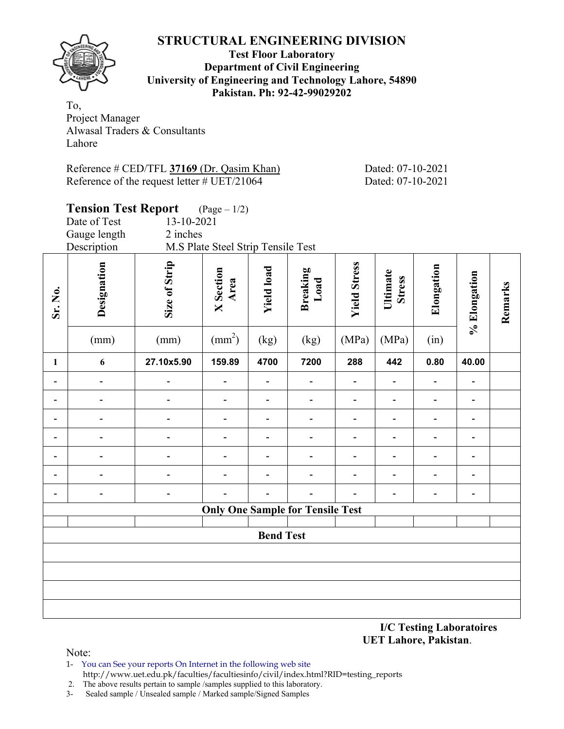

#### **Test Floor Laboratory Department of Civil Engineering University of Engineering and Technology Lahore, 54890 Pakistan. Ph: 92-42-99029202**

To, Project Manager Alwasal Traders & Consultants Lahore

| Reference # CED/TFL 37169 (Dr. Qasim Khan)            |  |
|-------------------------------------------------------|--|
| Reference of the request letter $\# \text{UET}/21064$ |  |

Dated: 07-10-2021 Dated: 07-10-2021

|                              | <b>Tension Test Report</b>   |                          | $(Page - 1/2)$                     |                          |                                         |                              |                              |                              |                              |         |
|------------------------------|------------------------------|--------------------------|------------------------------------|--------------------------|-----------------------------------------|------------------------------|------------------------------|------------------------------|------------------------------|---------|
|                              | Date of Test                 | 13-10-2021               |                                    |                          |                                         |                              |                              |                              |                              |         |
|                              | Gauge length                 | 2 inches                 |                                    |                          |                                         |                              |                              |                              |                              |         |
|                              | Description                  |                          | M.S Plate Steel Strip Tensile Test |                          |                                         |                              |                              |                              |                              |         |
| Sr. No.                      | Designation                  | Size of Strip            | <b>X</b> Section<br>Area           | <b>Yield load</b>        | Breaking<br>Load                        | <b>Yield Stress</b>          | Ultimate<br><b>Stress</b>    | Elongation                   | % Elongation                 | Remarks |
|                              | (mm)                         | (mm)                     | $\text{(mm}^2)$                    | (kg)                     | (kg)                                    | (MPa)                        | (MPa)                        | (in)                         |                              |         |
| $\mathbf{1}$                 | 6                            | 27.10x5.90               | 159.89                             | 4700                     | 7200                                    | 288                          | 442                          | 0.80                         | 40.00                        |         |
| $\blacksquare$               |                              |                          | $\overline{\phantom{a}}$           | $\overline{\phantom{0}}$ | $\qquad \qquad \blacksquare$            | $\qquad \qquad \blacksquare$ | $\qquad \qquad \blacksquare$ | $\overline{\phantom{0}}$     | $\qquad \qquad \blacksquare$ |         |
| $\qquad \qquad \blacksquare$ | $\blacksquare$               | -                        | $\qquad \qquad \blacksquare$       | $\overline{\phantom{0}}$ | $\overline{\phantom{0}}$                | $\qquad \qquad \blacksquare$ | $\qquad \qquad \blacksquare$ | $\qquad \qquad \blacksquare$ | $\qquad \qquad \blacksquare$ |         |
| $\blacksquare$               |                              |                          | $\blacksquare$                     | $\overline{\phantom{0}}$ | $\overline{\phantom{0}}$                | $\overline{a}$               | $\blacksquare$               | $\overline{a}$               | $\overline{\phantom{0}}$     |         |
| $\overline{\phantom{0}}$     | Ē,                           |                          | $\overline{a}$                     | $\overline{\phantom{0}}$ | $\qquad \qquad \blacksquare$            | $\overline{\phantom{0}}$     | $\blacksquare$               | $\overline{\phantom{0}}$     | $\overline{\phantom{a}}$     |         |
| $\overline{\phantom{0}}$     |                              | $\overline{a}$           | $\blacksquare$                     | $\overline{\phantom{0}}$ | $\qquad \qquad \blacksquare$            | $\overline{\phantom{0}}$     | $\overline{\phantom{a}}$     | $\overline{a}$               | $\overline{\phantom{a}}$     |         |
| $\blacksquare$               |                              |                          |                                    | $\overline{\phantom{0}}$ | $\qquad \qquad \blacksquare$            | $\overline{a}$               | $\qquad \qquad \blacksquare$ | $\overline{a}$               | $\qquad \qquad \blacksquare$ |         |
| $\overline{\phantom{0}}$     | $\qquad \qquad \blacksquare$ | $\overline{\phantom{0}}$ | $\overline{\phantom{0}}$           | $\overline{\phantom{0}}$ |                                         |                              | $\blacksquare$               | $\overline{a}$               | $\overline{\phantom{a}}$     |         |
|                              |                              |                          |                                    |                          | <b>Only One Sample for Tensile Test</b> |                              |                              |                              |                              |         |
|                              |                              |                          |                                    |                          |                                         |                              |                              |                              |                              |         |
|                              |                              |                          |                                    | <b>Bend Test</b>         |                                         |                              |                              |                              |                              |         |
|                              |                              |                          |                                    |                          |                                         |                              |                              |                              |                              |         |
|                              |                              |                          |                                    |                          |                                         |                              |                              |                              |                              |         |
|                              |                              |                          |                                    |                          |                                         |                              |                              |                              |                              |         |
|                              |                              |                          |                                    |                          |                                         |                              |                              |                              |                              |         |

**I/C Testing Laboratoires UET Lahore, Pakistan**.

- 1- You can See your reports On Internet in the following web site http://www.uet.edu.pk/faculties/facultiesinfo/civil/index.html?RID=testing\_reports
- 2. The above results pertain to sample /samples supplied to this laboratory.
- 3- Sealed sample / Unsealed sample / Marked sample/Signed Samples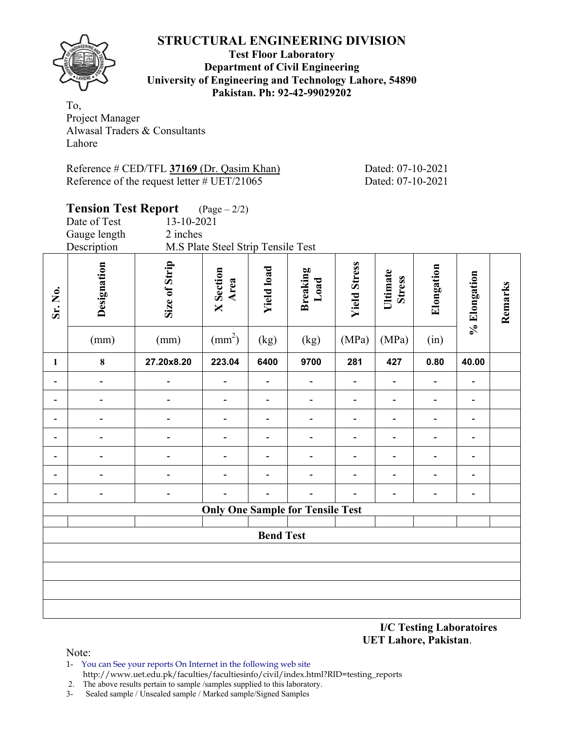

#### **Test Floor Laboratory Department of Civil Engineering University of Engineering and Technology Lahore, 54890 Pakistan. Ph: 92-42-99029202**

To, Project Manager Alwasal Traders & Consultants Lahore

| Reference # CED/TFL 37169 (Dr. Qasim Khan)            |  |
|-------------------------------------------------------|--|
| Reference of the request letter $\# \text{UET}/21065$ |  |

Dated: 07-10-2021 Dated: 07-10-2021

|                              | <b>Tension Test Report</b><br>$(\text{Page}-2/2)$ |                          |                                    |                          |                                         |                          |                           |                              |                              |         |  |  |  |
|------------------------------|---------------------------------------------------|--------------------------|------------------------------------|--------------------------|-----------------------------------------|--------------------------|---------------------------|------------------------------|------------------------------|---------|--|--|--|
|                              | Date of Test                                      | 13-10-2021               |                                    |                          |                                         |                          |                           |                              |                              |         |  |  |  |
|                              | Gauge length                                      | 2 inches                 |                                    |                          |                                         |                          |                           |                              |                              |         |  |  |  |
|                              | Description                                       |                          | M.S Plate Steel Strip Tensile Test |                          |                                         |                          |                           |                              |                              |         |  |  |  |
| Sr. No.                      | Designation                                       | Size of Strip            | <b>X</b> Section<br>Area           | <b>Yield load</b>        | Breaking<br>Load                        | <b>Yield Stress</b>      | Ultimate<br><b>Stress</b> | Elongation                   | % Elongation                 | Remarks |  |  |  |
|                              | (mm)                                              | (mm)                     | $\text{(mm}^2)$                    | (kg)                     | (kg)                                    | (MPa)                    | (MPa)                     | (in)                         |                              |         |  |  |  |
| $\mathbf{1}$                 | 8                                                 | 27.20x8.20               | 223.04                             | 6400                     | 9700                                    | 281                      | 427                       | 0.80                         | 40.00                        |         |  |  |  |
| $\blacksquare$               |                                                   |                          |                                    |                          |                                         |                          |                           | $\overline{a}$               | $\blacksquare$               |         |  |  |  |
| $\overline{\phantom{a}}$     | $\overline{a}$                                    | $\overline{\phantom{0}}$ | $\overline{\phantom{a}}$           | $\overline{\phantom{a}}$ | $\qquad \qquad \blacksquare$            | $\overline{\phantom{0}}$ | $\overline{\phantom{0}}$  | $\overline{\phantom{a}}$     | $\overline{\phantom{a}}$     |         |  |  |  |
| $\qquad \qquad \blacksquare$ | $\overline{a}$                                    | $\overline{\phantom{0}}$ | $\overline{\phantom{a}}$           | $\overline{\phantom{0}}$ | $\overline{\phantom{0}}$                | $\overline{\phantom{0}}$ | $\overline{\phantom{0}}$  | $\qquad \qquad \blacksquare$ | $\overline{\phantom{0}}$     |         |  |  |  |
| -                            |                                                   |                          |                                    | ÷                        | $\overline{\phantom{0}}$                | $\overline{\phantom{0}}$ | -                         | $\overline{a}$               | $\qquad \qquad \blacksquare$ |         |  |  |  |
| $\qquad \qquad \blacksquare$ | $\overline{a}$                                    | $\overline{\phantom{0}}$ |                                    | $\overline{a}$           | $\overline{a}$                          | $\overline{\phantom{0}}$ | $\overline{\phantom{0}}$  | $\overline{\phantom{0}}$     | $\overline{\phantom{a}}$     |         |  |  |  |
| $\qquad \qquad \blacksquare$ | $\overline{a}$                                    | $\overline{a}$           |                                    | ÷                        | $\overline{\phantom{0}}$                | $\blacksquare$           | $\overline{a}$            | $\overline{a}$               | $\overline{\phantom{0}}$     |         |  |  |  |
| -                            | $\overline{a}$                                    | -                        |                                    |                          |                                         |                          |                           | $\blacksquare$               | $\overline{\phantom{a}}$     |         |  |  |  |
|                              |                                                   |                          |                                    |                          | <b>Only One Sample for Tensile Test</b> |                          |                           |                              |                              |         |  |  |  |
|                              |                                                   |                          |                                    | <b>Bend Test</b>         |                                         |                          |                           |                              |                              |         |  |  |  |
|                              |                                                   |                          |                                    |                          |                                         |                          |                           |                              |                              |         |  |  |  |
|                              |                                                   |                          |                                    |                          |                                         |                          |                           |                              |                              |         |  |  |  |
|                              |                                                   |                          |                                    |                          |                                         |                          |                           |                              |                              |         |  |  |  |
|                              |                                                   |                          |                                    |                          |                                         |                          |                           |                              |                              |         |  |  |  |
|                              |                                                   |                          |                                    |                          |                                         |                          |                           |                              |                              |         |  |  |  |

**I/C Testing Laboratoires UET Lahore, Pakistan**.

- 1- You can See your reports On Internet in the following web site http://www.uet.edu.pk/faculties/facultiesinfo/civil/index.html?RID=testing\_reports
- 2. The above results pertain to sample /samples supplied to this laboratory.
- 3- Sealed sample / Unsealed sample / Marked sample/Signed Samples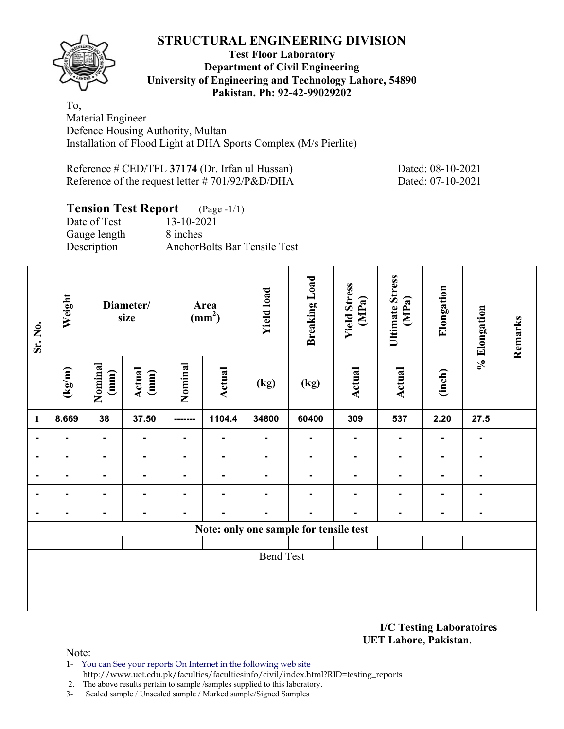

#### **Test Floor Laboratory Department of Civil Engineering University of Engineering and Technology Lahore, 54890 Pakistan. Ph: 92-42-99029202**

To, Material Engineer Defence Housing Authority, Multan Installation of Flood Light at DHA Sports Complex (M/s Pierlite)

Reference # CED/TFL **37174** (Dr. Irfan ul Hussan) Dated: 08-10-2021 Reference of the request letter # 701/92/P&D/DHA Dated: 07-10-2021

## **Tension Test Report** (Page -1/1)

| Date of Test | $13 - 10 - 2021$                    |
|--------------|-------------------------------------|
| Gauge length | 8 inches                            |
| Description  | <b>AnchorBolts Bar Tensile Test</b> |

| Sr. No.        | Weight          | Diameter/<br>size |                | Area<br>(mm <sup>2</sup> ) |                | <b>Yield load</b>        |                                        | <b>Yield Stress</b><br>(MPa) | <b>Ultimate Stress</b><br>Elongation<br>(MPa) |                | % Elongation   | Remarks |
|----------------|-----------------|-------------------|----------------|----------------------------|----------------|--------------------------|----------------------------------------|------------------------------|-----------------------------------------------|----------------|----------------|---------|
|                | $(\text{kg/m})$ | Nominal<br>(mm)   | Actual<br>(mm) | Nominal                    | Actual         | (kg)                     | (kg)                                   | Actual                       | Actual                                        | (inch)         |                |         |
| 1              | 8.669           | 38                | 37.50          | --------                   | 1104.4         | 34800                    | 60400                                  | 309                          | 537                                           | 2.20           | 27.5           |         |
| $\blacksquare$ | Ξ.              | $\blacksquare$    | ۰              | $\blacksquare$             | $\blacksquare$ | $\overline{\phantom{a}}$ | $\blacksquare$                         | $\blacksquare$               | $\blacksquare$                                | $\blacksquare$ | $\blacksquare$ |         |
| $\blacksquare$ | ۰               | $\blacksquare$    | ٠.             | $\blacksquare$             | $\blacksquare$ | ۰                        | ٠                                      | Ξ.                           | $\blacksquare$                                | $\blacksquare$ | ۰.             |         |
|                |                 | $\blacksquare$    | ۰              | $\blacksquare$             | $\blacksquare$ | ۰                        | ۰                                      | Ξ.                           | $\blacksquare$                                | ٠              | ۰              |         |
|                |                 | ٠.                |                |                            |                |                          | $\overline{\phantom{0}}$               |                              | $\blacksquare$                                |                |                |         |
|                |                 | ۰.                | ۰              |                            |                |                          | ۰                                      |                              | $\blacksquare$                                |                | ۰              |         |
|                |                 |                   |                |                            |                |                          | Note: only one sample for tensile test |                              |                                               |                |                |         |
|                |                 |                   |                |                            |                |                          |                                        |                              |                                               |                |                |         |
|                |                 |                   |                |                            |                | <b>Bend Test</b>         |                                        |                              |                                               |                |                |         |
|                |                 |                   |                |                            |                |                          |                                        |                              |                                               |                |                |         |
|                |                 |                   |                |                            |                |                          |                                        |                              |                                               |                |                |         |
|                |                 |                   |                |                            |                |                          |                                        |                              |                                               |                |                |         |

**I/C Testing Laboratoires UET Lahore, Pakistan**.

- 1- You can See your reports On Internet in the following web site http://www.uet.edu.pk/faculties/facultiesinfo/civil/index.html?RID=testing\_reports
- 2. The above results pertain to sample /samples supplied to this laboratory.
- 3- Sealed sample / Unsealed sample / Marked sample/Signed Samples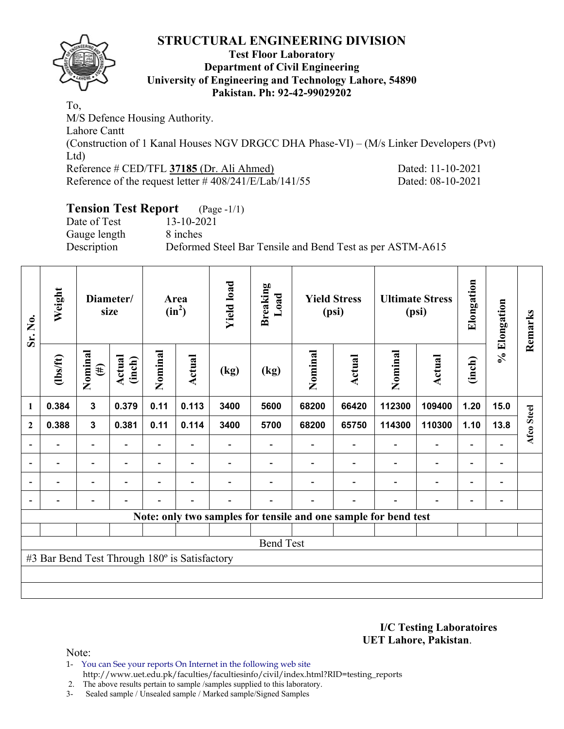

#### **Test Floor Laboratory Department of Civil Engineering University of Engineering and Technology Lahore, 54890 Pakistan. Ph: 92-42-99029202**

To, M/S Defence Housing Authority. Lahore Cantt (Construction of 1 Kanal Houses NGV DRGCC DHA Phase-VI) – (M/s Linker Developers (Pvt) Ltd) Reference # CED/TFL **37185** (Dr. Ali Ahmed) Dated: 11-10-2021 Reference of the request letter # 408/241/E/Lab/141/55 Dated: 08-10-2021

## **Tension Test Report** (Page -1/1)

Date of Test 13-10-2021 Gauge length 8 inches

Description Deformed Steel Bar Tensile and Bend Test as per ASTM-A615

| Sr. No.      | Weight                                        | Diameter/<br>size        |                  |                | <b>Yield load</b><br>Area<br>$(in^2)$ |      | <b>Breaking</b><br>$\mathbf{L}\mathbf{0}\mathbf{a}\mathbf{d}$ | <b>Yield Stress</b><br>(psi) |                          |                                                                 | <b>Ultimate Stress</b><br>(psi) | Elongation               | % Elongation                 | Remarks    |
|--------------|-----------------------------------------------|--------------------------|------------------|----------------|---------------------------------------|------|---------------------------------------------------------------|------------------------------|--------------------------|-----------------------------------------------------------------|---------------------------------|--------------------------|------------------------------|------------|
|              | $\frac{2}{10}$                                | Nominal<br>$(\#)$        | Actual<br>(inch) | Nominal        | Actual                                | (kg) | (kg)                                                          | Nominal                      | Actual                   | Nominal                                                         | Actual                          | (inch)                   |                              |            |
| 1            | 0.384                                         | $\mathbf{3}$             | 0.379            | 0.11           | 0.113                                 | 3400 | 5600                                                          | 68200                        | 66420                    | 112300                                                          | 109400                          | 1.20                     | 15.0                         |            |
| $\mathbf{2}$ | 0.388                                         | $\mathbf{3}$             | 0.381            | 0.11           | 0.114                                 | 3400 | 5700                                                          | 68200                        | 65750                    | 114300                                                          | 110300                          | 1.10                     | 13.8                         | Afco Steel |
|              |                                               | $\overline{\phantom{0}}$ |                  |                |                                       |      |                                                               |                              |                          |                                                                 | $\overline{\phantom{0}}$        | $\overline{\phantom{0}}$ |                              |            |
|              | $\overline{\phantom{0}}$                      | $\overline{\phantom{a}}$ | $\blacksquare$   |                | $\blacksquare$                        |      |                                                               |                              | $\blacksquare$           | $\blacksquare$                                                  | $\overline{a}$                  | $\overline{\phantom{0}}$ | $\overline{\phantom{a}}$     |            |
|              | $\overline{\phantom{0}}$                      | $\overline{\phantom{a}}$ |                  | $\blacksquare$ | $\overline{\phantom{a}}$              |      |                                                               |                              | $\blacksquare$           | $\blacksquare$                                                  | $\overline{\phantom{0}}$        | $\overline{\phantom{0}}$ | $\overline{\phantom{0}}$     |            |
|              | $\overline{\phantom{0}}$                      | $\overline{\phantom{0}}$ |                  |                | $\overline{\phantom{0}}$              |      |                                                               |                              | $\overline{\phantom{0}}$ | $\overline{\phantom{0}}$                                        | $\overline{\phantom{0}}$        | $\overline{\phantom{a}}$ | $\qquad \qquad \blacksquare$ |            |
|              |                                               |                          |                  |                |                                       |      |                                                               |                              |                          | Note: only two samples for tensile and one sample for bend test |                                 |                          |                              |            |
|              |                                               |                          |                  |                |                                       |      |                                                               |                              |                          |                                                                 |                                 |                          |                              |            |
|              | <b>Bend Test</b>                              |                          |                  |                |                                       |      |                                                               |                              |                          |                                                                 |                                 |                          |                              |            |
|              | #3 Bar Bend Test Through 180° is Satisfactory |                          |                  |                |                                       |      |                                                               |                              |                          |                                                                 |                                 |                          |                              |            |
|              |                                               |                          |                  |                |                                       |      |                                                               |                              |                          |                                                                 |                                 |                          |                              |            |
|              |                                               |                          |                  |                |                                       |      |                                                               |                              |                          |                                                                 |                                 |                          |                              |            |

**I/C Testing Laboratoires UET Lahore, Pakistan**.

Note:

1- You can See your reports On Internet in the following web site http://www.uet.edu.pk/faculties/facultiesinfo/civil/index.html?RID=testing\_reports

2. The above results pertain to sample /samples supplied to this laboratory.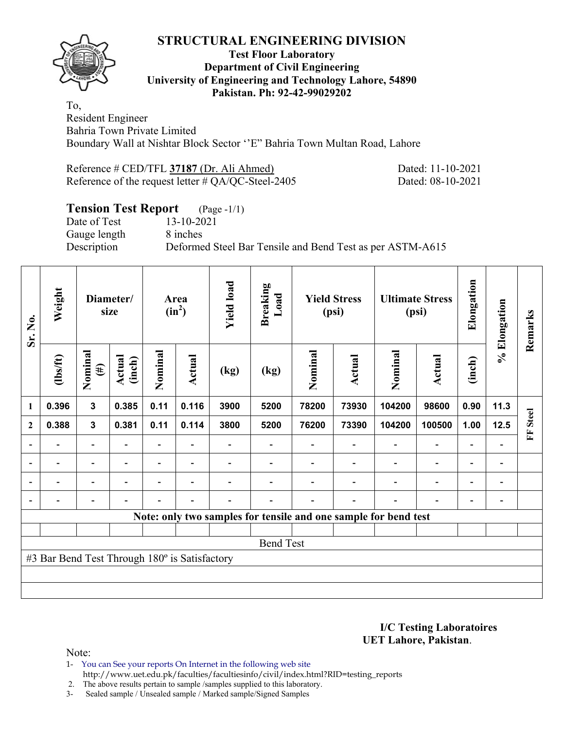

#### **Test Floor Laboratory Department of Civil Engineering University of Engineering and Technology Lahore, 54890 Pakistan. Ph: 92-42-99029202**

To, Resident Engineer Bahria Town Private Limited Boundary Wall at Nishtar Block Sector ''E" Bahria Town Multan Road, Lahore

| Reference # CED/TFL 37187 (Dr. Ali Ahmed)             | Dated: 11-10-2021 |
|-------------------------------------------------------|-------------------|
| Reference of the request letter $\#$ QA/QC-Steel-2405 | Dated: 08-10-2021 |

# **Tension Test Report** (Page -1/1)<br>Date of Test 13-10-2021

Date of Test Gauge length 8 inches

Description Deformed Steel Bar Tensile and Bend Test as per ASTM-A615

| Sr. No.                  | Weight                                        | Diameter/<br>size        |                  |                |                          |                          |      |         |                |                                                                 | Area<br>$(in^2)$             | <b>Yield load</b>        | <b>Breaking</b><br>Load  |                   | <b>Yield Stress</b><br>(psi) |  | <b>Ultimate Stress</b><br>(psi) | Elongation | % Elongation | Remarks |
|--------------------------|-----------------------------------------------|--------------------------|------------------|----------------|--------------------------|--------------------------|------|---------|----------------|-----------------------------------------------------------------|------------------------------|--------------------------|--------------------------|-------------------|------------------------------|--|---------------------------------|------------|--------------|---------|
|                          | $\frac{2}{10}$                                | Nominal<br>$(\#)$        | Actual<br>(inch) | Nominal        | Actual                   | (kg)                     | (kg) | Nominal | Actual         | Nominal                                                         | Actual                       | (inch)                   |                          |                   |                              |  |                                 |            |              |         |
| $\mathbf{1}$             | 0.396                                         | $\mathbf{3}$             | 0.385            | 0.11           | 0.116                    | 3900                     | 5200 | 78200   | 73930          | 104200                                                          | 98600                        | 0.90                     | 11.3                     |                   |                              |  |                                 |            |              |         |
| $\mathbf{2}$             | 0.388                                         | $\mathbf 3$              | 0.381            | 0.11           | 0.114                    | 3800                     | 5200 | 76200   | 73390          | 104200                                                          | 100500                       | 1.00                     | 12.5                     | <b>Steel</b><br>E |                              |  |                                 |            |              |         |
|                          |                                               | $\overline{\phantom{0}}$ |                  |                |                          |                          |      |         |                |                                                                 | $\overline{\phantom{0}}$     | $\overline{\phantom{0}}$ |                          |                   |                              |  |                                 |            |              |         |
| $\overline{\phantom{a}}$ | $\overline{\phantom{0}}$                      | $\overline{\phantom{a}}$ | $\blacksquare$   | $\blacksquare$ | $\overline{\phantom{a}}$ |                          |      |         | $\blacksquare$ | $\overline{\phantom{a}}$                                        | $\overline{\phantom{a}}$     | $\overline{\phantom{a}}$ | $\overline{\phantom{a}}$ |                   |                              |  |                                 |            |              |         |
|                          | $\overline{\phantom{0}}$                      | $\overline{\phantom{a}}$ |                  | $\blacksquare$ | ۰                        |                          |      |         |                |                                                                 | $\qquad \qquad \blacksquare$ | $\overline{\phantom{0}}$ | $\overline{\phantom{0}}$ |                   |                              |  |                                 |            |              |         |
|                          | $\overline{\phantom{0}}$                      | $\overline{\phantom{a}}$ |                  | $\blacksquare$ | ۰                        | $\overline{\phantom{0}}$ |      |         | $\blacksquare$ | $\blacksquare$                                                  | $\overline{\phantom{0}}$     | $\overline{\phantom{0}}$ | $\blacksquare$           |                   |                              |  |                                 |            |              |         |
|                          |                                               |                          |                  |                |                          |                          |      |         |                | Note: only two samples for tensile and one sample for bend test |                              |                          |                          |                   |                              |  |                                 |            |              |         |
|                          |                                               |                          |                  |                |                          |                          |      |         |                |                                                                 |                              |                          |                          |                   |                              |  |                                 |            |              |         |
|                          | <b>Bend Test</b>                              |                          |                  |                |                          |                          |      |         |                |                                                                 |                              |                          |                          |                   |                              |  |                                 |            |              |         |
|                          | #3 Bar Bend Test Through 180° is Satisfactory |                          |                  |                |                          |                          |      |         |                |                                                                 |                              |                          |                          |                   |                              |  |                                 |            |              |         |
|                          |                                               |                          |                  |                |                          |                          |      |         |                |                                                                 |                              |                          |                          |                   |                              |  |                                 |            |              |         |
|                          |                                               |                          |                  |                |                          |                          |      |         |                |                                                                 |                              |                          |                          |                   |                              |  |                                 |            |              |         |

**I/C Testing Laboratoires UET Lahore, Pakistan**.

- 1- You can See your reports On Internet in the following web site http://www.uet.edu.pk/faculties/facultiesinfo/civil/index.html?RID=testing\_reports
- 2. The above results pertain to sample /samples supplied to this laboratory.
- 3- Sealed sample / Unsealed sample / Marked sample/Signed Samples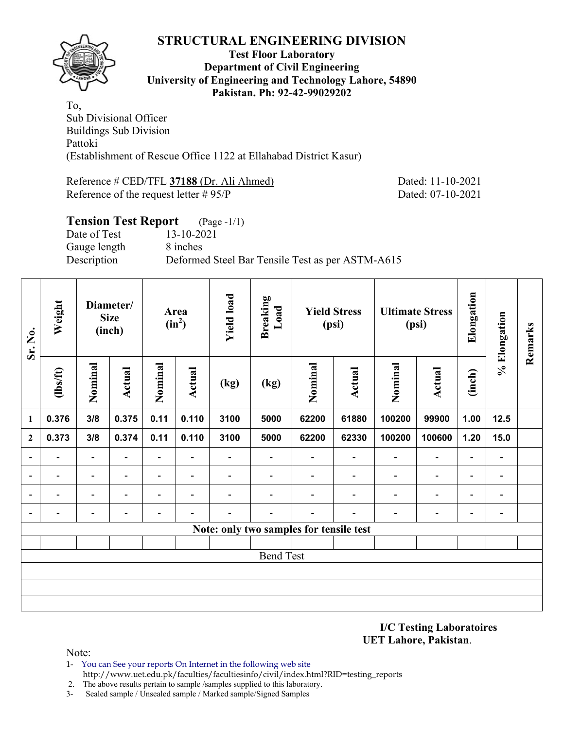

#### **Test Floor Laboratory Department of Civil Engineering University of Engineering and Technology Lahore, 54890 Pakistan. Ph: 92-42-99029202**

To, Sub Divisional Officer Buildings Sub Division Pattoki (Establishment of Rescue Office 1122 at Ellahabad District Kasur)

Reference # CED/TFL **37188** (Dr. Ali Ahmed) Dated: 11-10-2021 Reference of the request letter # 95/P Dated: 07-10-2021

## **Tension Test Report** (Page -1/1) Date of Test 13-10-2021 Gauge length 8 inches Description Deformed Steel Bar Tensile Test as per ASTM-A615

| Sr. No.        | Weight                   |                          | Diameter/<br><b>Size</b><br>(inch) |                              | Area<br>$(in^2)$         | <b>Yield load</b>        | <b>Breaking</b><br>Load  |                                         | <b>Yield Stress</b><br>(psi) |                          | <b>Ultimate Stress</b><br>(psi) | Elongation               | % Elongation             | Remarks |
|----------------|--------------------------|--------------------------|------------------------------------|------------------------------|--------------------------|--------------------------|--------------------------|-----------------------------------------|------------------------------|--------------------------|---------------------------------|--------------------------|--------------------------|---------|
|                | $\frac{2}{10}$           | Nominal                  | <b>Actual</b>                      | Nominal                      | <b>Actual</b>            | (kg)                     | (kg)                     | Nominal                                 | <b>Actual</b>                | Nominal                  | <b>Actual</b>                   | (inch)                   |                          |         |
| $\mathbf{1}$   | 0.376                    | 3/8                      | 0.375                              | 0.11                         | 0.110                    | 3100                     | 5000                     | 62200                                   | 61880                        | 100200                   | 99900                           | 1.00                     | 12.5                     |         |
| $\mathbf{2}$   | 0.373                    | 3/8                      | 0.374                              | 0.11                         | 0.110                    | 3100                     | 5000                     | 62200                                   | 62330                        | 100200                   | 100600                          | 1.20                     | 15.0                     |         |
|                | $\overline{\phantom{0}}$ | $\overline{\phantom{a}}$ | $\blacksquare$                     | $\overline{\phantom{a}}$     | $\blacksquare$           | $\overline{\phantom{0}}$ | $\overline{\phantom{0}}$ | $\overline{\phantom{0}}$                | $\blacksquare$               | $\overline{\phantom{0}}$ | $\overline{\phantom{a}}$        | $\blacksquare$           | $\overline{\phantom{a}}$ |         |
|                | $\overline{\phantom{0}}$ | $\overline{\phantom{a}}$ | -                                  | $\qquad \qquad \blacksquare$ | $\overline{\phantom{a}}$ | -                        | $\overline{\phantom{a}}$ | $\overline{\phantom{0}}$                | $\overline{\phantom{a}}$     | $\overline{\phantom{a}}$ | $\overline{\phantom{a}}$        | $\blacksquare$           | $\blacksquare$           |         |
|                | $\blacksquare$           | $\overline{\phantom{0}}$ |                                    | $\blacksquare$               | $\blacksquare$           | -                        |                          |                                         |                              | $\overline{\phantom{0}}$ | $\overline{\phantom{a}}$        | $\overline{\phantom{0}}$ | $\overline{\phantom{a}}$ |         |
| $\blacksquare$ |                          | -                        |                                    |                              |                          |                          |                          |                                         |                              |                          | -                               | -                        | -                        |         |
|                |                          |                          |                                    |                              |                          |                          |                          | Note: only two samples for tensile test |                              |                          |                                 |                          |                          |         |
|                |                          |                          |                                    |                              |                          |                          |                          |                                         |                              |                          |                                 |                          |                          |         |
|                |                          |                          |                                    |                              |                          |                          | <b>Bend Test</b>         |                                         |                              |                          |                                 |                          |                          |         |
|                |                          |                          |                                    |                              |                          |                          |                          |                                         |                              |                          |                                 |                          |                          |         |
|                |                          |                          |                                    |                              |                          |                          |                          |                                         |                              |                          |                                 |                          |                          |         |
|                |                          |                          |                                    |                              |                          |                          |                          |                                         |                              |                          |                                 |                          |                          |         |

**I/C Testing Laboratoires UET Lahore, Pakistan**.

- 1- You can See your reports On Internet in the following web site http://www.uet.edu.pk/faculties/facultiesinfo/civil/index.html?RID=testing\_reports
- 2. The above results pertain to sample /samples supplied to this laboratory.
- 3- Sealed sample / Unsealed sample / Marked sample/Signed Samples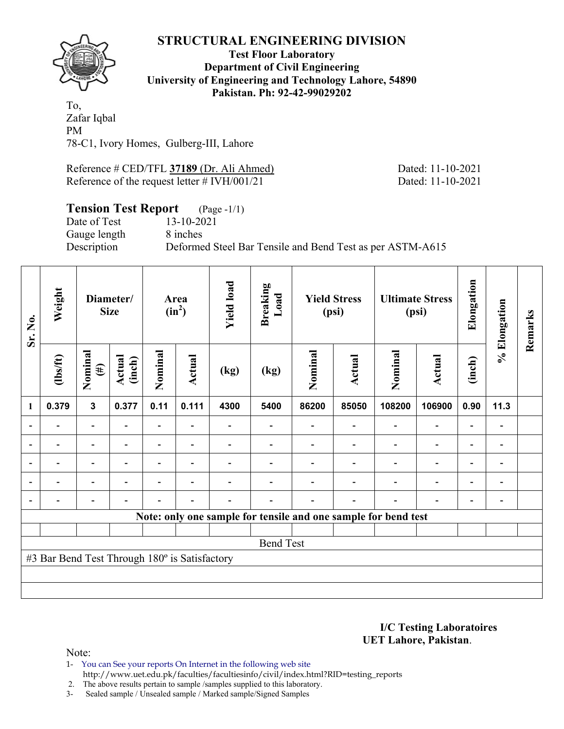

#### **Test Floor Laboratory Department of Civil Engineering University of Engineering and Technology Lahore, 54890 Pakistan. Ph: 92-42-99029202**

To, Zafar Iqbal PM 78-C1, Ivory Homes, Gulberg-III, Lahore

Reference # CED/TFL **37189** (Dr. Ali Ahmed) Dated: 11-10-2021 Reference of the request letter # IVH/001/21 Dated: 11-10-2021

# **Tension Test Report** (Page -1/1)<br>Date of Test 13-10-2021

Date of Test Gauge length 8 inches

Description Deformed Steel Bar Tensile and Bend Test as per ASTM-A615

| Sr. No. | Weight<br>Diameter/<br><b>Size</b>            |                          |                  |                | Area<br>$(in^2)$         |      | <b>Yield load</b><br><b>Breaking</b><br>Load<br><b>Yield Stress</b><br>(psi) |         |                | <b>Ultimate Stress</b><br>(psi)                                | Elongation               | % Elongation             | Remarks                      |  |
|---------|-----------------------------------------------|--------------------------|------------------|----------------|--------------------------|------|------------------------------------------------------------------------------|---------|----------------|----------------------------------------------------------------|--------------------------|--------------------------|------------------------------|--|
|         | $\frac{2}{10}$                                | Nominal<br>$(\#)$        | Actual<br>(inch) | Nominal        | <b>Actual</b>            | (kg) | (kg)                                                                         | Nominal | Actual         | Nominal                                                        | <b>Actual</b>            | (inch)                   |                              |  |
| 1       | 0.379                                         | $\mathbf{3}$             | 0.377            | 0.11           | 0.111                    | 4300 | 5400                                                                         | 86200   | 85050          | 108200                                                         | 106900                   | 0.90                     | 11.3                         |  |
|         |                                               | $\overline{\phantom{a}}$ |                  | Ξ.             | $\blacksquare$           |      |                                                                              |         | $\blacksquare$ |                                                                | $\overline{\phantom{0}}$ | $\blacksquare$           |                              |  |
|         |                                               | $\overline{\phantom{0}}$ |                  | Ξ.             |                          |      |                                                                              |         |                |                                                                | $\overline{\phantom{0}}$ | $\overline{\phantom{0}}$ | $\qquad \qquad \blacksquare$ |  |
|         |                                               | $\overline{\phantom{0}}$ |                  |                | ٠                        |      |                                                                              |         |                |                                                                | $\overline{\phantom{0}}$ | $\overline{\phantom{0}}$ | $\qquad \qquad \blacksquare$ |  |
|         | $\blacksquare$                                | $\overline{\phantom{a}}$ | $\blacksquare$   | $\blacksquare$ | ۰                        |      |                                                                              |         | $\blacksquare$ | $\blacksquare$                                                 | $\overline{\phantom{a}}$ | $\overline{\phantom{a}}$ | $\blacksquare$               |  |
|         |                                               | $\overline{\phantom{0}}$ |                  |                | $\overline{\phantom{0}}$ |      |                                                                              |         |                |                                                                | $\overline{\phantom{0}}$ | $\overline{\phantom{a}}$ | $\blacksquare$               |  |
|         |                                               |                          |                  |                |                          |      |                                                                              |         |                | Note: only one sample for tensile and one sample for bend test |                          |                          |                              |  |
|         |                                               |                          |                  |                |                          |      |                                                                              |         |                |                                                                |                          |                          |                              |  |
|         |                                               |                          |                  |                |                          |      | <b>Bend Test</b>                                                             |         |                |                                                                |                          |                          |                              |  |
|         | #3 Bar Bend Test Through 180° is Satisfactory |                          |                  |                |                          |      |                                                                              |         |                |                                                                |                          |                          |                              |  |
|         |                                               |                          |                  |                |                          |      |                                                                              |         |                |                                                                |                          |                          |                              |  |
|         |                                               |                          |                  |                |                          |      |                                                                              |         |                |                                                                |                          |                          |                              |  |

**I/C Testing Laboratoires UET Lahore, Pakistan**.

Note:

1- You can See your reports On Internet in the following web site http://www.uet.edu.pk/faculties/facultiesinfo/civil/index.html?RID=testing\_reports

2. The above results pertain to sample /samples supplied to this laboratory.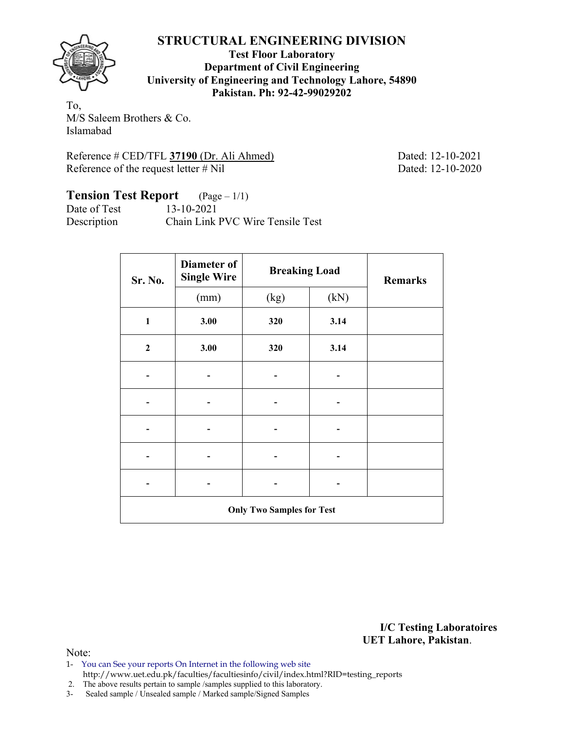

**Test Floor Laboratory Department of Civil Engineering University of Engineering and Technology Lahore, 54890 Pakistan. Ph: 92-42-99029202** 

To, M/S Saleem Brothers & Co. Islamabad

Reference # CED/TFL **37190** (Dr. Ali Ahmed) Dated: 12-10-2021 Reference of the request letter # Nil Dated: 12-10-2020

## **Tension Test Report** (Page – 1/1)

Date of Test 13-10-2021 Description Chain Link PVC Wire Tensile Test

| Sr. No.                          | Diameter of<br><b>Single Wire</b> | <b>Breaking Load</b> | <b>Remarks</b> |  |  |  |  |  |
|----------------------------------|-----------------------------------|----------------------|----------------|--|--|--|--|--|
|                                  | (mm)                              | (kg)                 | (kN)           |  |  |  |  |  |
| $\mathbf{1}$                     | 3.00                              | 320                  | 3.14           |  |  |  |  |  |
| $\boldsymbol{2}$                 | 3.00                              | 320                  | 3.14           |  |  |  |  |  |
|                                  |                                   |                      |                |  |  |  |  |  |
|                                  |                                   |                      |                |  |  |  |  |  |
|                                  |                                   |                      |                |  |  |  |  |  |
|                                  |                                   |                      |                |  |  |  |  |  |
|                                  |                                   |                      |                |  |  |  |  |  |
| <b>Only Two Samples for Test</b> |                                   |                      |                |  |  |  |  |  |

**I/C Testing Laboratoires UET Lahore, Pakistan**.

Note:

1- You can See your reports On Internet in the following web site http://www.uet.edu.pk/faculties/facultiesinfo/civil/index.html?RID=testing\_reports

2. The above results pertain to sample /samples supplied to this laboratory.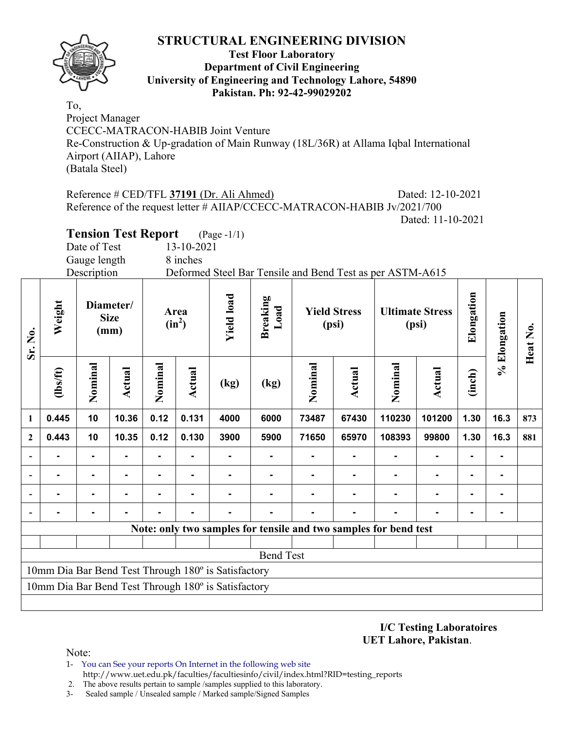

#### **Test Floor Laboratory Department of Civil Engineering University of Engineering and Technology Lahore, 54890 Pakistan. Ph: 92-42-99029202**

To, Project Manager CCECC-MATRACON-HABIB Joint Venture Re-Construction & Up-gradation of Main Runway (18L/36R) at Allama Iqbal International Airport (AIIAP), Lahore (Batala Steel)

Reference # CED/TFL **37191** (Dr. Ali Ahmed) Dated: 12-10-2021 Reference of the request letter # AIIAP/CCECC-MATRACON-HABIB Jv/2021/700 Dated: 11-10-2021

**Tension Test Report** (Page -1/1)

Date of Test 13-10-2021

Gauge length 8 inches

Description Deformed Steel Bar Tensile and Bend Test as per ASTM-A615

| Sr. No.      | Weight   |                | Diameter/<br><b>Size</b><br>(mm) |                | Area<br>$(in^2)$ |                                                     | <b>Yield load</b><br>Breaking<br>Load |         | <b>Yield Stress</b><br>(psi) |                                                                  | <b>Ultimate Stress</b><br>(psi) |                | % Elongation | Heat No. |
|--------------|----------|----------------|----------------------------------|----------------|------------------|-----------------------------------------------------|---------------------------------------|---------|------------------------------|------------------------------------------------------------------|---------------------------------|----------------|--------------|----------|
|              | (lbs/ft) | Nominal        | <b>Actual</b>                    | Nominal        | Actual           | (kg)                                                | (kg)                                  | Nominal | <b>Actual</b>                | Nominal                                                          | Actual                          | (inch)         |              |          |
| 1            | 0.445    | 10             | 10.36                            | 0.12           | 0.131            | 4000                                                | 6000                                  | 73487   | 67430                        | 110230                                                           | 101200                          | 1.30           | 16.3         | 873      |
| $\mathbf{2}$ | 0.443    | 10             | 10.35                            | 0.12           | 0.130            | 3900                                                | 5900                                  | 71650   | 65970                        | 108393                                                           | 99800                           | 1.30           | 16.3         | 881      |
|              |          | $\blacksquare$ |                                  |                |                  |                                                     |                                       |         |                              |                                                                  | ٠                               | $\blacksquare$ |              |          |
|              |          | $\blacksquare$ |                                  | $\blacksquare$ | ۰                |                                                     | ۰                                     |         |                              | ۰                                                                | $\overline{\phantom{0}}$        | $\blacksquare$ |              |          |
|              |          |                |                                  |                |                  |                                                     |                                       |         |                              |                                                                  |                                 |                |              |          |
| ۰            |          |                |                                  |                |                  |                                                     |                                       |         |                              |                                                                  |                                 |                |              |          |
|              |          |                |                                  |                |                  |                                                     |                                       |         |                              | Note: only two samples for tensile and two samples for bend test |                                 |                |              |          |
|              |          |                |                                  |                |                  |                                                     |                                       |         |                              |                                                                  |                                 |                |              |          |
|              |          |                |                                  |                |                  |                                                     | <b>Bend Test</b>                      |         |                              |                                                                  |                                 |                |              |          |
|              |          |                |                                  |                |                  | 10mm Dia Bar Bend Test Through 180° is Satisfactory |                                       |         |                              |                                                                  |                                 |                |              |          |
|              |          |                |                                  |                |                  | 10mm Dia Bar Bend Test Through 180° is Satisfactory |                                       |         |                              |                                                                  |                                 |                |              |          |
|              |          |                |                                  |                |                  |                                                     |                                       |         |                              |                                                                  |                                 |                |              |          |

**I/C Testing Laboratoires UET Lahore, Pakistan**.

Note:

- 1- You can See your reports On Internet in the following web site http://www.uet.edu.pk/faculties/facultiesinfo/civil/index.html?RID=testing\_reports
- 2. The above results pertain to sample /samples supplied to this laboratory.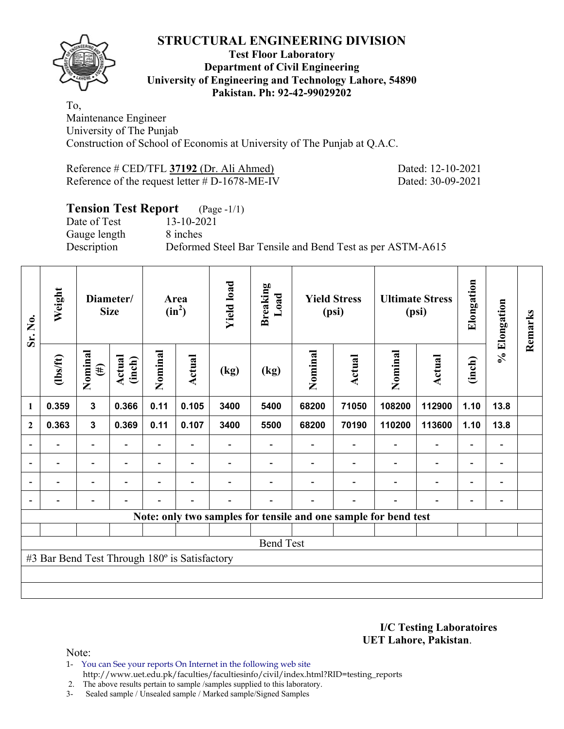

#### **Test Floor Laboratory Department of Civil Engineering University of Engineering and Technology Lahore, 54890 Pakistan. Ph: 92-42-99029202**

To, Maintenance Engineer University of The Punjab Construction of School of Economis at University of The Punjab at Q.A.C.

Reference # CED/TFL **37192** (Dr. Ali Ahmed) Dated: 12-10-2021 Reference of the request letter # D-1678-ME-IV Dated: 30-09-2021

## **Tension Test Report** (Page -1/1)

Date of Test 13-10-2021 Gauge length 8 inches

Description Deformed Steel Bar Tensile and Bend Test as per ASTM-A615

| Sr. No.        | Weight                                        |                          | Diameter/<br><b>Size</b> |                | <b>Yield load</b><br>Area<br>$(in^2)$ |      | <b>Breaking</b><br>Load | <b>Yield Stress</b><br>(psi) |                          | <b>Ultimate Stress</b><br>(psi)                                 |                          | Elongation               | % Elongation                 | Remarks |
|----------------|-----------------------------------------------|--------------------------|--------------------------|----------------|---------------------------------------|------|-------------------------|------------------------------|--------------------------|-----------------------------------------------------------------|--------------------------|--------------------------|------------------------------|---------|
|                | $\frac{2}{10}$                                | Nominal<br>$(\#)$        | Actual<br>(inch)         | Nominal        | Actual                                | (kg) | (kg)                    | Nominal                      | Actual                   | Nominal                                                         | <b>Actual</b>            | (inch)                   |                              |         |
| 1              | 0.359                                         | $\overline{\mathbf{3}}$  | 0.366                    | 0.11           | 0.105                                 | 3400 | 5400                    | 68200                        | 71050                    | 108200                                                          | 112900                   | 1.10                     | 13.8                         |         |
| $\mathbf{2}$   | 0.363                                         | $\mathbf{3}$             | 0.369                    | 0.11           | 0.107                                 | 3400 | 5500                    | 68200                        | 70190                    | 110200                                                          | 113600                   | 1.10                     | 13.8                         |         |
|                |                                               | Ξ.                       |                          |                |                                       |      |                         |                              |                          |                                                                 | $\overline{\phantom{0}}$ | $\overline{a}$           |                              |         |
| $\overline{a}$ |                                               | $\overline{\phantom{a}}$ |                          |                | $\overline{\phantom{a}}$              |      |                         |                              |                          |                                                                 | $\overline{a}$           | $\overline{\phantom{a}}$ | $\qquad \qquad \blacksquare$ |         |
| $\blacksquare$ | $\overline{\phantom{0}}$                      | Ξ.                       | $\overline{\phantom{a}}$ | $\blacksquare$ | $\overline{\phantom{a}}$              |      |                         |                              |                          | $\overline{\phantom{a}}$                                        | $\overline{a}$           | $\overline{\phantom{0}}$ | $\overline{\phantom{0}}$     |         |
|                | -                                             | $\overline{a}$           |                          |                | $\blacksquare$                        | -    |                         |                              | $\overline{\phantom{0}}$ | $\blacksquare$                                                  | $\overline{a}$           | $\overline{\phantom{a}}$ | $\qquad \qquad \blacksquare$ |         |
|                |                                               |                          |                          |                |                                       |      |                         |                              |                          | Note: only two samples for tensile and one sample for bend test |                          |                          |                              |         |
|                |                                               |                          |                          |                |                                       |      |                         |                              |                          |                                                                 |                          |                          |                              |         |
|                |                                               |                          |                          |                |                                       |      | <b>Bend Test</b>        |                              |                          |                                                                 |                          |                          |                              |         |
|                | #3 Bar Bend Test Through 180° is Satisfactory |                          |                          |                |                                       |      |                         |                              |                          |                                                                 |                          |                          |                              |         |
|                |                                               |                          |                          |                |                                       |      |                         |                              |                          |                                                                 |                          |                          |                              |         |
|                |                                               |                          |                          |                |                                       |      |                         |                              |                          |                                                                 |                          |                          |                              |         |

**I/C Testing Laboratoires UET Lahore, Pakistan**.

- 1- You can See your reports On Internet in the following web site http://www.uet.edu.pk/faculties/facultiesinfo/civil/index.html?RID=testing\_reports
- 2. The above results pertain to sample /samples supplied to this laboratory.
- 3- Sealed sample / Unsealed sample / Marked sample/Signed Samples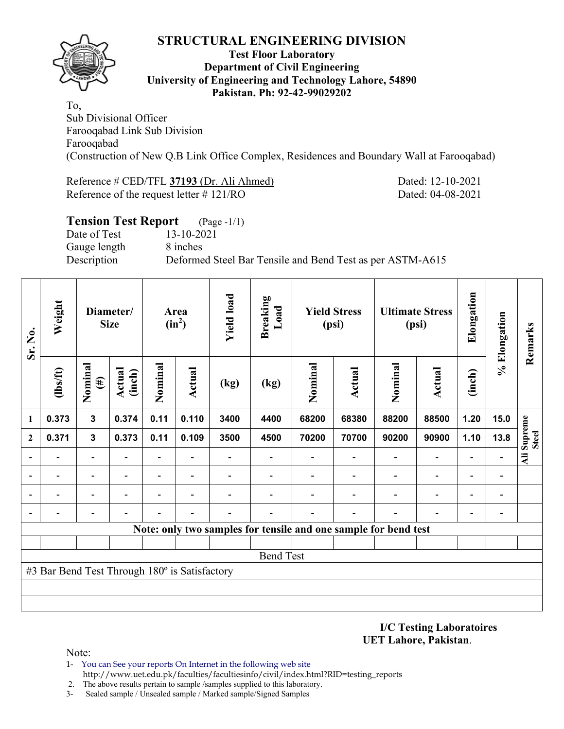

#### **Test Floor Laboratory Department of Civil Engineering University of Engineering and Technology Lahore, 54890 Pakistan. Ph: 92-42-99029202**

To, Sub Divisional Officer Farooqabad Link Sub Division Farooqabad (Construction of New Q.B Link Office Complex, Residences and Boundary Wall at Farooqabad)

Reference # CED/TFL **37193** (Dr. Ali Ahmed) Dated: 12-10-2021 Reference of the request letter # 121/RO Dated: 04-08-2021

| <b>Tension Test Report</b> (Page -1/1) |                                                           |
|----------------------------------------|-----------------------------------------------------------|
| Date of Test                           | 13-10-2021                                                |
| Gauge length                           | 8 inches                                                  |
| Description                            | Deformed Steel Bar Tensile and Bend Test as per ASTM-A615 |
|                                        |                                                           |

| Sr. No.                      | Weight                                        |                   | Diameter/<br><b>Size</b> |         | Area<br>$(in^2)$ | <b>Yield load</b> | <b>Breaking</b><br>Load |         | <b>Yield Stress</b><br>(psi)                                    |         | <b>Ultimate Stress</b><br>(psi) |                          |      |                             | % Elongation | Remarks |
|------------------------------|-----------------------------------------------|-------------------|--------------------------|---------|------------------|-------------------|-------------------------|---------|-----------------------------------------------------------------|---------|---------------------------------|--------------------------|------|-----------------------------|--------------|---------|
|                              | (1bs/ft)                                      | Nominal<br>$(\#)$ | <b>Actual</b><br>(inch)  | Nominal | <b>Actual</b>    | (kg)              | (kg)                    | Nominal | Actual                                                          | Nominal | <b>Actual</b>                   | (inch)                   |      |                             |              |         |
| 1                            | 0.373                                         | $\mathbf{3}$      | 0.374                    | 0.11    | 0.110            | 3400              | 4400                    | 68200   | 68380                                                           | 88200   | 88500                           | 1.20                     | 15.0 |                             |              |         |
| $\mathbf{2}$                 | 0.371                                         | $\mathbf{3}$      | 0.373                    | 0.11    | 0.109            | 3500              | 4500                    | 70200   | 70700                                                           | 90200   | 90900                           | 1.10                     | 13.8 | Ali Supreme<br><b>Steel</b> |              |         |
| $\overline{\phantom{a}}$     |                                               |                   |                          |         |                  |                   |                         |         |                                                                 |         |                                 |                          |      |                             |              |         |
| $\qquad \qquad \blacksquare$ |                                               |                   |                          |         |                  |                   |                         |         |                                                                 |         | $\overline{a}$                  | $\overline{\phantom{0}}$ |      |                             |              |         |
| $\overline{\phantom{0}}$     |                                               |                   |                          |         |                  |                   |                         |         |                                                                 |         | $\overline{\phantom{0}}$        | $\overline{\phantom{0}}$ |      |                             |              |         |
| $\qquad \qquad \blacksquare$ |                                               |                   |                          |         |                  |                   |                         |         |                                                                 |         |                                 |                          |      |                             |              |         |
|                              |                                               |                   |                          |         |                  |                   |                         |         | Note: only two samples for tensile and one sample for bend test |         |                                 |                          |      |                             |              |         |
|                              |                                               |                   |                          |         |                  |                   |                         |         |                                                                 |         |                                 |                          |      |                             |              |         |
|                              |                                               |                   |                          |         |                  |                   | <b>Bend Test</b>        |         |                                                                 |         |                                 |                          |      |                             |              |         |
|                              | #3 Bar Bend Test Through 180° is Satisfactory |                   |                          |         |                  |                   |                         |         |                                                                 |         |                                 |                          |      |                             |              |         |
|                              |                                               |                   |                          |         |                  |                   |                         |         |                                                                 |         |                                 |                          |      |                             |              |         |
|                              |                                               |                   |                          |         |                  |                   |                         |         |                                                                 |         |                                 |                          |      |                             |              |         |

**I/C Testing Laboratoires UET Lahore, Pakistan**.

- 1- You can See your reports On Internet in the following web site http://www.uet.edu.pk/faculties/facultiesinfo/civil/index.html?RID=testing\_reports
- 2. The above results pertain to sample /samples supplied to this laboratory.
- 3- Sealed sample / Unsealed sample / Marked sample/Signed Samples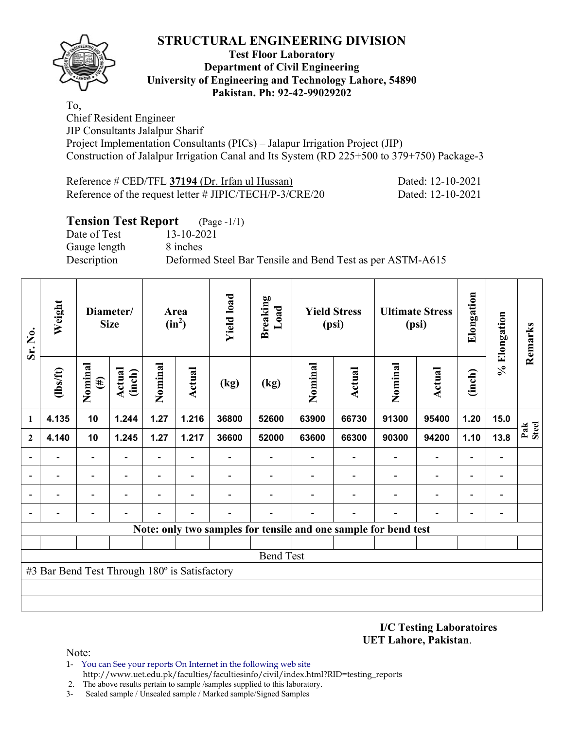

#### **Test Floor Laboratory Department of Civil Engineering University of Engineering and Technology Lahore, 54890 Pakistan. Ph: 92-42-99029202**

To, Chief Resident Engineer JIP Consultants Jalalpur Sharif Project Implementation Consultants (PICs) – Jalapur Irrigation Project (JIP) Construction of Jalalpur Irrigation Canal and Its System (RD 225+500 to 379+750) Package-3

| Reference $\#$ CED/TFL 37194 (Dr. Irfan ul Hussan)         | Dated: 12-10-2021 |
|------------------------------------------------------------|-------------------|
| Reference of the request letter $\#$ JIPIC/TECH/P-3/CRE/20 | Dated: 12-10-2021 |

#### **Tension Test Report** (Page -1/1)

Date of Test 13-10-2021 Gauge length 8 inches

Description Deformed Steel Bar Tensile and Bend Test as per ASTM-A615

| Sr. No.      | Weight                                        |                          | Diameter/<br><b>Size</b> |                          | Area<br>$(in^2)$         | <b>Yield load</b> | <b>Breaking</b><br>Load                                         | <b>Yield Stress</b><br>(psi) |               | <b>Ultimate Stress</b><br>(psi) |                              | Elongation               | % Elongation                 | Remarks      |
|--------------|-----------------------------------------------|--------------------------|--------------------------|--------------------------|--------------------------|-------------------|-----------------------------------------------------------------|------------------------------|---------------|---------------------------------|------------------------------|--------------------------|------------------------------|--------------|
|              | $\frac{2}{10}$                                | Nominal<br>$(\#)$        | Actual<br>(inch)         | Nominal                  | Actual                   | (kg)              | (kg)                                                            | Nominal                      | <b>Actual</b> | Nominal                         | <b>Actual</b>                | (inch)                   |                              |              |
| 1            | 4.135                                         | 10                       | 1.244                    | 1.27                     | 1.216                    | 36800             | 52600                                                           | 63900                        | 66730         | 91300                           | 95400                        | 1.20                     | 15.0                         |              |
| $\mathbf{2}$ | 4.140                                         | 10                       | 1.245                    | 1.27                     | 1.217                    | 36600             | 52000                                                           | 63600                        | 66300         | 90300                           | 94200                        | 1.10                     | 13.8                         | Pak<br>Steel |
|              |                                               | $\overline{\phantom{0}}$ | $\overline{a}$           | $\overline{\phantom{0}}$ | $\overline{\phantom{a}}$ |                   | $\overline{\phantom{0}}$                                        |                              |               | $\overline{\phantom{0}}$        | $\blacksquare$               | $\overline{\phantom{0}}$ | $\qquad \qquad \blacksquare$ |              |
|              |                                               | -                        |                          | -                        | $\overline{\phantom{a}}$ |                   |                                                                 |                              |               |                                 | $\qquad \qquad \blacksquare$ | $\overline{\phantom{0}}$ | $\qquad \qquad$              |              |
|              |                                               | $\overline{\phantom{0}}$ |                          | -                        |                          |                   |                                                                 |                              |               |                                 |                              | $\overline{\phantom{0}}$ | $\blacksquare$               |              |
|              |                                               |                          |                          |                          |                          |                   |                                                                 |                              |               |                                 |                              |                          | $\overline{a}$               |              |
|              |                                               |                          |                          |                          |                          |                   | Note: only two samples for tensile and one sample for bend test |                              |               |                                 |                              |                          |                              |              |
|              |                                               |                          |                          |                          |                          |                   |                                                                 |                              |               |                                 |                              |                          |                              |              |
|              |                                               |                          |                          |                          |                          |                   | <b>Bend Test</b>                                                |                              |               |                                 |                              |                          |                              |              |
|              | #3 Bar Bend Test Through 180° is Satisfactory |                          |                          |                          |                          |                   |                                                                 |                              |               |                                 |                              |                          |                              |              |
|              |                                               |                          |                          |                          |                          |                   |                                                                 |                              |               |                                 |                              |                          |                              |              |
|              |                                               |                          |                          |                          |                          |                   |                                                                 |                              |               |                                 |                              |                          |                              |              |

**I/C Testing Laboratoires UET Lahore, Pakistan**.

- 1- You can See your reports On Internet in the following web site http://www.uet.edu.pk/faculties/facultiesinfo/civil/index.html?RID=testing\_reports
- 2. The above results pertain to sample /samples supplied to this laboratory.
- 3- Sealed sample / Unsealed sample / Marked sample/Signed Samples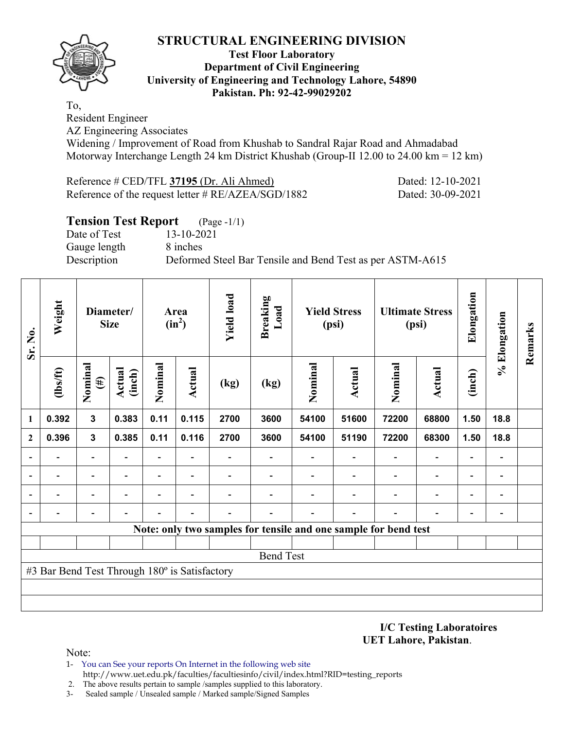

#### **Test Floor Laboratory Department of Civil Engineering University of Engineering and Technology Lahore, 54890 Pakistan. Ph: 92-42-99029202**

To,

Resident Engineer

AZ Engineering Associates

Widening / Improvement of Road from Khushab to Sandral Rajar Road and Ahmadabad Motorway Interchange Length 24 km District Khushab (Group-II 12.00 to 24.00 km = 12 km)

| Reference # CED/TFL 37195 (Dr. Ali Ahmed)          |
|----------------------------------------------------|
| Reference of the request letter # RE/AZEA/SGD/1882 |

Dated: 12-10-2021 Dated: 30-09-2021

| <b>Tension Test Report</b> (Page -1/1) |                                                           |
|----------------------------------------|-----------------------------------------------------------|
| Date of Test                           | 13-10-2021                                                |
| Gauge length                           | 8 inches                                                  |
| Description                            | Deformed Steel Bar Tensile and Bend Test as per ASTM-A615 |

| Sr. No.      | Weight                                        |                          | Diameter/<br><b>Size</b> |                          | Area<br>$(in^2)$         | <b>Yield load</b> | <b>Breaking</b><br>Load                                         |         | <b>Yield Stress</b><br>(psi) |                          | <b>Ultimate Stress</b><br>(psi) | Elongation                   | % Elongation                 | Remarks |
|--------------|-----------------------------------------------|--------------------------|--------------------------|--------------------------|--------------------------|-------------------|-----------------------------------------------------------------|---------|------------------------------|--------------------------|---------------------------------|------------------------------|------------------------------|---------|
|              | $\frac{2}{10}$                                | Nominal<br>$(\#)$        | Actual<br>(inch)         | Nominal                  | Actual                   | (kg)              | (kg)                                                            | Nominal | <b>Actual</b>                | Nominal                  | <b>Actual</b>                   | (inch)                       |                              |         |
| 1            | 0.392                                         | $\mathbf{3}$             | 0.383                    | 0.11                     | 0.115                    | 2700              | 3600                                                            | 54100   | 51600                        | 72200                    | 68800                           | 1.50                         | 18.8                         |         |
| $\mathbf{2}$ | 0.396                                         | $\mathbf{3}$             | 0.385                    | 0.11                     | 0.116                    | 2700              | 3600                                                            | 54100   | 51190                        | 72200                    | 68300                           | 1.50                         | 18.8                         |         |
|              |                                               |                          |                          | $\overline{\phantom{0}}$ |                          |                   |                                                                 |         |                              |                          | $\qquad \qquad -$               | $\qquad \qquad \blacksquare$ |                              |         |
| ۰            |                                               | $\overline{\phantom{0}}$ |                          | $\overline{\phantom{0}}$ | ۰                        |                   |                                                                 |         |                              | $\overline{\phantom{0}}$ | $\overline{\phantom{0}}$        | $\overline{\phantom{a}}$     | $\qquad \qquad \blacksquare$ |         |
|              |                                               |                          |                          | -                        | $\overline{\phantom{0}}$ |                   |                                                                 |         |                              |                          | $\qquad \qquad \blacksquare$    | $\overline{\phantom{0}}$     | $\overline{a}$               |         |
|              |                                               |                          |                          |                          |                          |                   |                                                                 |         |                              |                          |                                 | $\overline{\phantom{0}}$     | $\overline{\phantom{0}}$     |         |
|              |                                               |                          |                          |                          |                          |                   | Note: only two samples for tensile and one sample for bend test |         |                              |                          |                                 |                              |                              |         |
|              |                                               |                          |                          |                          |                          |                   |                                                                 |         |                              |                          |                                 |                              |                              |         |
|              |                                               |                          |                          |                          |                          |                   | <b>Bend Test</b>                                                |         |                              |                          |                                 |                              |                              |         |
|              | #3 Bar Bend Test Through 180° is Satisfactory |                          |                          |                          |                          |                   |                                                                 |         |                              |                          |                                 |                              |                              |         |
|              |                                               |                          |                          |                          |                          |                   |                                                                 |         |                              |                          |                                 |                              |                              |         |
|              |                                               |                          |                          |                          |                          |                   |                                                                 |         |                              |                          |                                 |                              |                              |         |

**I/C Testing Laboratoires UET Lahore, Pakistan**.

- 1- You can See your reports On Internet in the following web site http://www.uet.edu.pk/faculties/facultiesinfo/civil/index.html?RID=testing\_reports
- 2. The above results pertain to sample /samples supplied to this laboratory.
- 3- Sealed sample / Unsealed sample / Marked sample/Signed Samples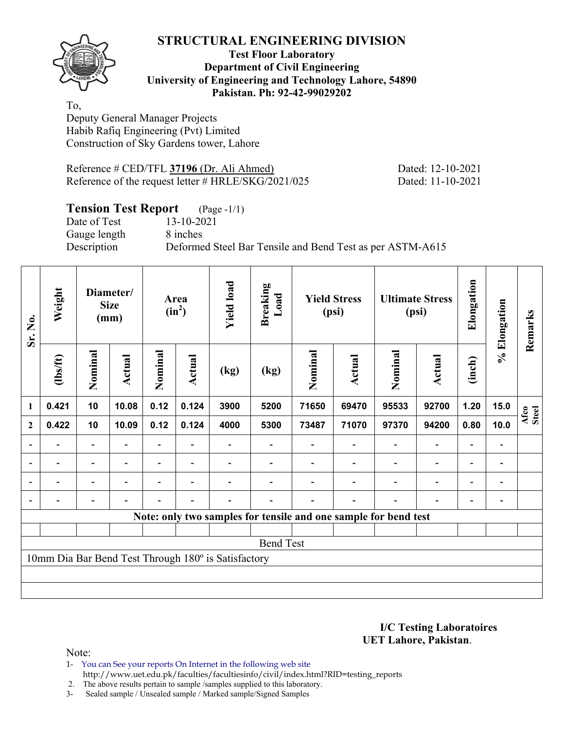

#### **Test Floor Laboratory Department of Civil Engineering University of Engineering and Technology Lahore, 54890 Pakistan. Ph: 92-42-99029202**

To, Deputy General Manager Projects Habib Rafiq Engineering (Pvt) Limited Construction of Sky Gardens tower, Lahore

Reference # CED/TFL **37196** (Dr. Ali Ahmed) Dated: 12-10-2021 Reference of the request letter # HRLE/SKG/2021/025 Dated: 11-10-2021

## **Tension Test Report** (Page -1/1)

Gauge length 8 inches

Date of Test 13-10-2021 Description Deformed Steel Bar Tensile and Bend Test as per ASTM-A615

| Sr. No.        | Weight   |                              | Diameter/<br><b>Size</b><br>(mm) |         | Area<br>$(in^2)$         | <b>Yield load</b><br><b>Breaking</b><br>Load<br><b>Yield Stress</b><br>(psi)<br>(psi) |                                                                 |         |        | <b>Ultimate Stress</b> |                          | Elongation               | % Elongation             | Remarks       |
|----------------|----------|------------------------------|----------------------------------|---------|--------------------------|---------------------------------------------------------------------------------------|-----------------------------------------------------------------|---------|--------|------------------------|--------------------------|--------------------------|--------------------------|---------------|
|                | (1bs/ft) | Nominal                      | Actual                           | Nominal | Actual                   | (kg)                                                                                  | (kg)                                                            | Nominal | Actual | Nominal                | <b>Actual</b>            | (inch)                   |                          |               |
| $\mathbf{1}$   | 0.421    | 10                           | 10.08                            | 0.12    | 0.124                    | 3900                                                                                  | 5200                                                            | 71650   | 69470  | 95533                  | 92700                    | 1.20                     | 15.0                     | Afco<br>Steel |
| $\mathbf{2}$   | 0.422    | 10                           | 10.09                            | 0.12    | 0.124                    | 4000                                                                                  | 5300                                                            | 73487   | 71070  | 97370                  | 94200                    | 0.80                     | 10.0                     |               |
| $\overline{a}$ |          | $\overline{\phantom{0}}$     |                                  |         |                          |                                                                                       |                                                                 |         |        |                        | $\overline{\phantom{a}}$ | $\overline{\phantom{0}}$ |                          |               |
| $\blacksquare$ | Ξ.       | $\overline{\phantom{a}}$     | $\blacksquare$                   | Ξ.      | $\overline{\phantom{a}}$ |                                                                                       |                                                                 |         |        | $\blacksquare$         | $\overline{\phantom{a}}$ | Ξ.                       | $\overline{\phantom{a}}$ |               |
|                | -        | $\qquad \qquad \blacksquare$ |                                  |         | $\overline{\phantom{0}}$ |                                                                                       |                                                                 |         |        |                        | $\overline{\phantom{a}}$ | $\overline{\phantom{0}}$ | $\overline{a}$           |               |
|                |          | $\overline{\phantom{0}}$     |                                  |         | $\overline{\phantom{0}}$ |                                                                                       |                                                                 |         |        |                        | $\overline{\phantom{0}}$ | $\overline{\phantom{0}}$ | $\overline{a}$           |               |
|                |          |                              |                                  |         |                          |                                                                                       | Note: only two samples for tensile and one sample for bend test |         |        |                        |                          |                          |                          |               |
|                |          |                              |                                  |         |                          |                                                                                       |                                                                 |         |        |                        |                          |                          |                          |               |
|                |          |                              |                                  |         |                          |                                                                                       | <b>Bend Test</b>                                                |         |        |                        |                          |                          |                          |               |
|                |          |                              |                                  |         |                          | 10mm Dia Bar Bend Test Through 180° is Satisfactory                                   |                                                                 |         |        |                        |                          |                          |                          |               |
|                |          |                              |                                  |         |                          |                                                                                       |                                                                 |         |        |                        |                          |                          |                          |               |
|                |          |                              |                                  |         |                          |                                                                                       |                                                                 |         |        |                        |                          |                          |                          |               |

**I/C Testing Laboratoires UET Lahore, Pakistan**.

Note:

1- You can See your reports On Internet in the following web site http://www.uet.edu.pk/faculties/facultiesinfo/civil/index.html?RID=testing\_reports

2. The above results pertain to sample /samples supplied to this laboratory.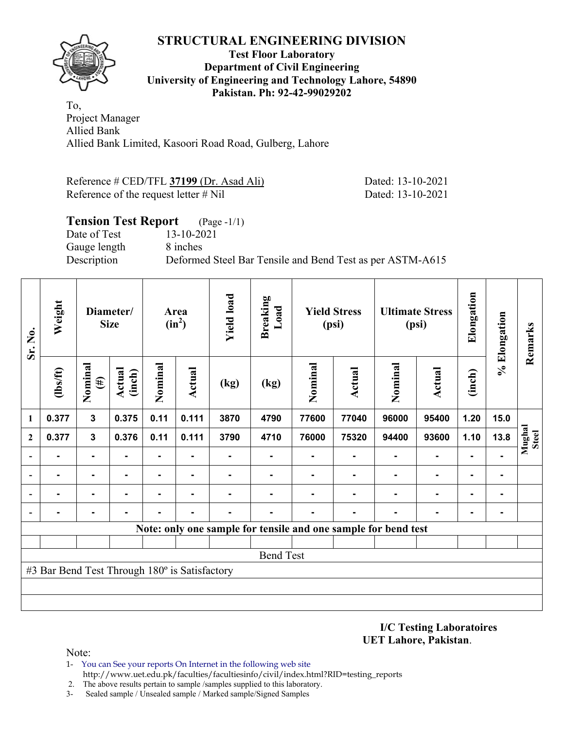

#### **Test Floor Laboratory Department of Civil Engineering University of Engineering and Technology Lahore, 54890 Pakistan. Ph: 92-42-99029202**

To, Project Manager Allied Bank Allied Bank Limited, Kasoori Road Road, Gulberg, Lahore

| Reference # CED/TFL 37199 (Dr. Asad Ali) | Dated: 13-10-2021 |
|------------------------------------------|-------------------|
| Reference of the request letter $\#$ Nil | Dated: 13-10-2021 |

#### **Tension Test Report** (Page -1/1) Date of Test 13-10-2021 Gauge length 8 inches

Description Deformed Steel Bar Tensile and Bend Test as per ASTM-A615

| Sr. No.                                                        | Weight                                        | Diameter/<br><b>Size</b> |                         | Area<br>$(in^2)$ |                | <b>Yield load</b> | <b>Breaking</b><br>Load | <b>Yield Stress</b><br>(psi) |        | <b>Ultimate Stress</b><br>(psi) |                | Elongation     | % Elongation | Remarks                |
|----------------------------------------------------------------|-----------------------------------------------|--------------------------|-------------------------|------------------|----------------|-------------------|-------------------------|------------------------------|--------|---------------------------------|----------------|----------------|--------------|------------------------|
|                                                                | $\frac{2}{10}$                                | Nominal<br>$(\#)$        | <b>Actual</b><br>(inch) | Nominal          | <b>Actual</b>  | (kg)              | (kg)                    | Nominal                      | Actual | Nominal                         | <b>Actual</b>  | (inch)         |              |                        |
| 1                                                              | 0.377                                         | $\mathbf{3}$             | 0.375                   | 0.11             | 0.111          | 3870              | 4790                    | 77600                        | 77040  | 96000                           | 95400          | 1.20           | 15.0         |                        |
| $\mathbf{2}$                                                   | 0.377                                         | $\mathbf{3}$             | 0.376                   | 0.11             | 0.111          | 3790              | 4710                    | 76000                        | 75320  | 94400                           | 93600          | 1.10           | 13.8         | Mughal<br><b>Steel</b> |
| $\blacksquare$                                                 | $\blacksquare$                                | ۰                        |                         | ۰                |                |                   |                         |                              |        |                                 | $\blacksquare$ | $\blacksquare$ |              |                        |
|                                                                |                                               | $\blacksquare$           | $\blacksquare$          | ۰                | $\blacksquare$ |                   |                         |                              |        |                                 | $\blacksquare$ | ۰              |              |                        |
|                                                                |                                               | ۰                        |                         |                  |                |                   |                         |                              |        |                                 | $\blacksquare$ | ۰              |              |                        |
|                                                                |                                               | ۰                        |                         |                  |                |                   |                         |                              |        |                                 |                | ۰              |              |                        |
| Note: only one sample for tensile and one sample for bend test |                                               |                          |                         |                  |                |                   |                         |                              |        |                                 |                |                |              |                        |
|                                                                |                                               |                          |                         |                  |                |                   |                         |                              |        |                                 |                |                |              |                        |
|                                                                | <b>Bend Test</b>                              |                          |                         |                  |                |                   |                         |                              |        |                                 |                |                |              |                        |
|                                                                | #3 Bar Bend Test Through 180° is Satisfactory |                          |                         |                  |                |                   |                         |                              |        |                                 |                |                |              |                        |
|                                                                |                                               |                          |                         |                  |                |                   |                         |                              |        |                                 |                |                |              |                        |
|                                                                |                                               |                          |                         |                  |                |                   |                         |                              |        |                                 |                |                |              |                        |

**I/C Testing Laboratoires UET Lahore, Pakistan**.

- 1- You can See your reports On Internet in the following web site http://www.uet.edu.pk/faculties/facultiesinfo/civil/index.html?RID=testing\_reports
- 2. The above results pertain to sample /samples supplied to this laboratory.
- 3- Sealed sample / Unsealed sample / Marked sample/Signed Samples